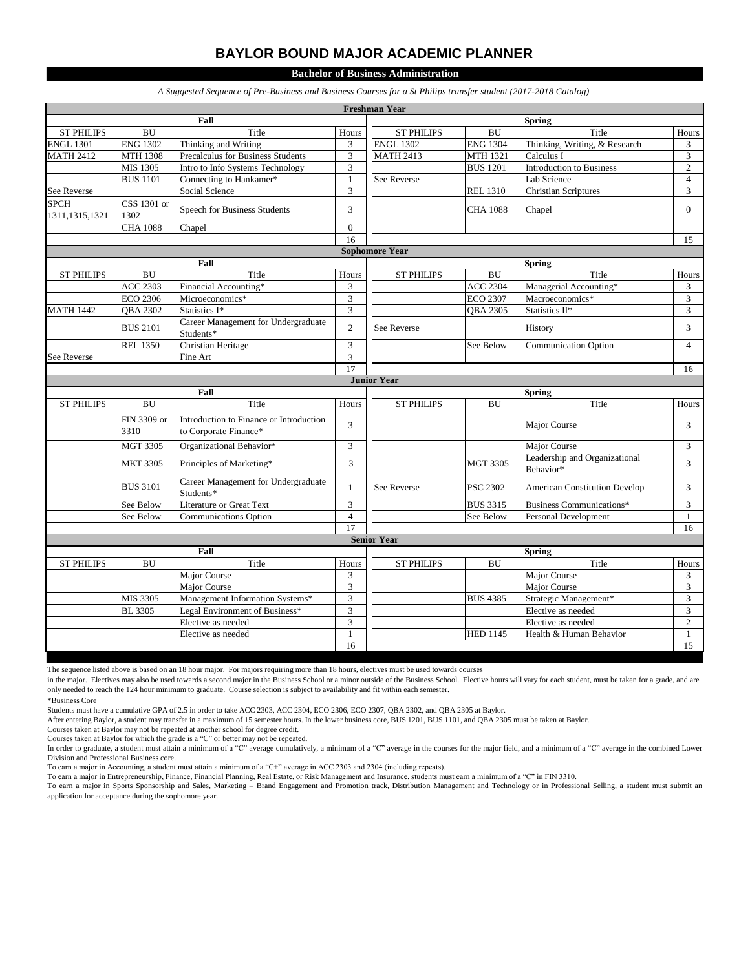## **BAYLOR BOUND MAJOR ACADEMIC PLANNER**

**Bachelor of Business Administration**

*A Suggested Sequence of Pre-Business and Business Courses for a St Philips transfer student (2017-2018 Catalog)*

| <b>Freshman Year</b>            |                           |                                                                  |                |                       |                 |                                            |                                 |  |  |  |  |
|---------------------------------|---------------------------|------------------------------------------------------------------|----------------|-----------------------|-----------------|--------------------------------------------|---------------------------------|--|--|--|--|
|                                 |                           | Fall                                                             |                |                       |                 | <b>Spring</b>                              |                                 |  |  |  |  |
| <b>ST PHILIPS</b>               | <b>BU</b>                 | Title                                                            | Hours          | <b>ST PHILIPS</b>     | <b>BU</b>       | Title                                      | Hours                           |  |  |  |  |
| <b>ENGL 1301</b>                | <b>ENG 1302</b>           | Thinking and Writing                                             | 3              | <b>ENGL 1302</b>      | <b>ENG 1304</b> | Thinking, Writing, & Research              | 3                               |  |  |  |  |
| <b>MATH 2412</b>                | <b>MTH 1308</b>           | Precalculus for Business Students                                | $\overline{3}$ | <b>MATH 2413</b>      | <b>MTH 1321</b> | Calculus I                                 | 3                               |  |  |  |  |
|                                 | MIS 1305                  | Intro to Info Systems Technology                                 | 3              |                       | <b>BUS 1201</b> | <b>Introduction to Business</b>            | $\overline{c}$                  |  |  |  |  |
|                                 | <b>BUS 1101</b>           | Connecting to Hankamer*                                          | $\mathbf{1}$   | See Reverse           |                 | Lab Science                                | $\overline{4}$                  |  |  |  |  |
| See Reverse                     |                           | Social Science                                                   | 3              |                       | <b>REL 1310</b> | <b>Christian Scriptures</b>                | $\mathfrak{Z}$                  |  |  |  |  |
| <b>SPCH</b><br>1311, 1315, 1321 | CSS 1301 or<br>1302       | Speech for Business Students                                     | 3              |                       | <b>CHA 1088</b> | Chapel                                     | $\overline{0}$                  |  |  |  |  |
|                                 | <b>CHA 1088</b><br>Chapel |                                                                  | $\mathbf{0}$   |                       |                 |                                            |                                 |  |  |  |  |
|                                 |                           |                                                                  | 16             |                       |                 |                                            | 15                              |  |  |  |  |
|                                 |                           |                                                                  |                | <b>Sophomore Year</b> |                 |                                            |                                 |  |  |  |  |
|                                 |                           | Fall                                                             |                |                       |                 | <b>Spring</b>                              |                                 |  |  |  |  |
| <b>ST PHILIPS</b>               | <b>BU</b>                 | Title                                                            | Hours          | <b>ST PHILIPS</b>     | <b>BU</b>       | Title                                      | Hours                           |  |  |  |  |
|                                 | <b>ACC 2303</b>           | Financial Accounting*                                            | 3              |                       | <b>ACC 2304</b> | Managerial Accounting*                     | 3                               |  |  |  |  |
|                                 | <b>ECO 2306</b>           | Microeconomics*                                                  | 3              |                       | <b>ECO 2307</b> | Macroeconomics*                            | $\mathfrak{Z}$                  |  |  |  |  |
| <b>MATH 1442</b>                | QBA 2302                  | Statistics I*                                                    | 3              |                       | QBA 2305        | Statistics II*                             | 3                               |  |  |  |  |
|                                 | <b>BUS 2101</b>           | Career Management for Undergraduate<br>Students*                 | $\mathfrak{2}$ | See Reverse           |                 | History                                    | 3                               |  |  |  |  |
|                                 | <b>REL 1350</b>           | Christian Heritage                                               | 3              |                       | See Below       | <b>Communication Option</b>                | $\overline{4}$                  |  |  |  |  |
| See Reverse                     |                           | Fine Art                                                         | 3              |                       |                 |                                            |                                 |  |  |  |  |
|                                 |                           |                                                                  | 17             |                       |                 |                                            | 16                              |  |  |  |  |
| <b>Junior Year</b>              |                           |                                                                  |                |                       |                 |                                            |                                 |  |  |  |  |
| Fall                            |                           |                                                                  |                | <b>Spring</b>         |                 |                                            |                                 |  |  |  |  |
| <b>ST PHILIPS</b>               | <b>BU</b>                 | Title                                                            | Hours          | <b>ST PHILIPS</b>     | <b>BU</b>       | Title                                      | Hours                           |  |  |  |  |
|                                 | FIN 3309 or<br>3310       | Introduction to Finance or Introduction<br>to Corporate Finance* | 3              |                       |                 | Major Course                               | 3                               |  |  |  |  |
|                                 | <b>MGT 3305</b>           | Organizational Behavior*                                         | 3              |                       |                 | Major Course                               | 3                               |  |  |  |  |
|                                 | <b>MKT 3305</b>           | Principles of Marketing*                                         | 3              |                       | <b>MGT 3305</b> | Leadership and Organizational<br>Behavior* | 3                               |  |  |  |  |
|                                 | <b>BUS 3101</b>           | Career Management for Undergraduate<br>Students*                 | 1              | See Reverse           | <b>PSC 2302</b> | <b>American Constitution Develop</b>       | 3                               |  |  |  |  |
|                                 | See Below                 | Literature or Great Text                                         | 3              |                       | <b>BUS 3315</b> | Business Communications*                   | 3                               |  |  |  |  |
|                                 | See Below                 | <b>Communications Option</b>                                     | $\overline{4}$ |                       | See Below       | <b>Personal Development</b>                | $\mathbf{1}$                    |  |  |  |  |
|                                 |                           |                                                                  | 17             |                       |                 |                                            | 16                              |  |  |  |  |
|                                 |                           |                                                                  |                | <b>Senior Year</b>    |                 |                                            |                                 |  |  |  |  |
| Fall                            |                           |                                                                  |                |                       |                 | <b>Spring</b>                              |                                 |  |  |  |  |
| <b>ST PHILIPS</b>               | <b>BU</b>                 | Title                                                            | Hours          | <b>ST PHILIPS</b>     | <b>BU</b>       | Title                                      | Hours                           |  |  |  |  |
|                                 |                           | Major Course                                                     | 3              |                       |                 | Major Course                               | 3                               |  |  |  |  |
|                                 |                           | Major Course                                                     | 3              |                       |                 | Major Course                               | $\mathfrak{Z}$                  |  |  |  |  |
|                                 | MIS 3305                  | Management Information Systems*                                  | 3              |                       | <b>BUS 4385</b> | Strategic Management*                      | $\overline{3}$                  |  |  |  |  |
|                                 | <b>BL</b> 3305            | Legal Environment of Business*                                   | 3              |                       |                 | Elective as needed                         | $\overline{3}$                  |  |  |  |  |
|                                 |                           | Elective as needed                                               | 3              |                       |                 | Elective as needed                         | $\overline{c}$                  |  |  |  |  |
|                                 |                           |                                                                  |                |                       |                 |                                            |                                 |  |  |  |  |
|                                 |                           | Elective as needed                                               | $\mathbf{1}$   |                       | <b>HED 1145</b> | Health & Human Behavior                    | $\mathbf{1}$<br>$\overline{15}$ |  |  |  |  |

The sequence listed above is based on an 18 hour major. For majors requiring more than 18 hours, electives must be used towards courses

in the major. Electives may also be used towards a second major in the Business School or a minor outside of the Business School. Elective hours will vary for each student, must be taken for a grade, and are only needed to reach the 124 hour minimum to graduate. Course selection is subject to availability and fit within each semester.

\*Business Core

Students must have a cumulative GPA of 2.5 in order to take ACC 2303, ACC 2304, ECO 2306, ECO 2307, QBA 2302, and QBA 2305 at Baylor.

After entering Baylor, a student may transfer in a maximum of 15 semester hours. In the lower business core, BUS 1201, BUS 1101, and QBA 2305 must be taken at Baylor.

Courses taken at Baylor may not be repeated at another school for degree credit.

Courses taken at Baylor for which the grade is a "C" or better may not be repeated.

In order to graduate, a student must attain a minimum of a "C" average cumulatively, a minimum of a "C" average in the courses for the major field, and a minimum of a "C" average in the combined Lower Division and Professional Business core.

To earn a major in Accounting, a student must attain a minimum of a "C+" average in ACC 2303 and 2304 (including repeats).<br>To earn a major in Entrepreneurship, Finance, Financial Planning, Real Estate, or Risk Management a application for acceptance during the sophomore year.